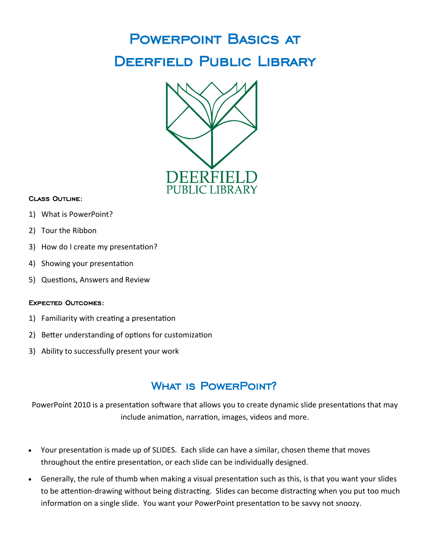# Powerpoint Basics at Deerfield Public Library



### Class Outline:

- 1) What is PowerPoint?
- 2) Tour the Ribbon
- 3) How do I create my presentation?
- 4) Showing your presentation
- 5) Questions, Answers and Review

#### Expected Outcomes:

- 1) Familiarity with creating a presentation
- 2) Better understanding of options for customization
- 3) Ability to successfully present your work

### WHAT IS POWERPOINT?

PowerPoint 2010 is a presentation software that allows you to create dynamic slide presentations that may include animation, narration, images, videos and more.

- Your presentation is made up of SLIDES. Each slide can have a similar, chosen theme that moves throughout the entire presentation, or each slide can be individually designed.
- Generally, the rule of thumb when making a visual presentation such as this, is that you want your slides to be attention-drawing without being distracting. Slides can become distracting when you put too much information on a single slide. You want your PowerPoint presentation to be savvy not snoozy.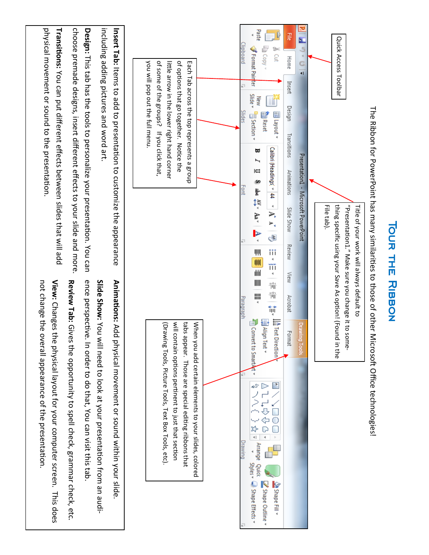

TOUR THE RIBBON<br>The Ribbon for PowerPoint has many similarities to those of other Microsoft Office technologies!

**NON HIP RIBBON**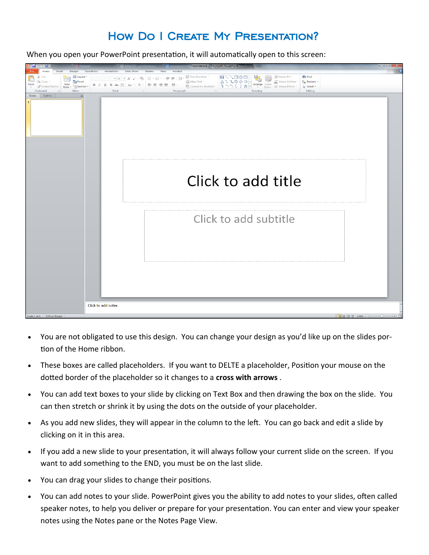### How Do I Create My Presentation?

When you open your PowerPoint presentation, it will automatically open to this screen:

| $\frac{1}{2} \times \mathbf{G}$<br>H                 |                           | Presentation1 - Microsoft PowerPoint                                                                                                                                                                      |          |
|------------------------------------------------------|---------------------------|-----------------------------------------------------------------------------------------------------------------------------------------------------------------------------------------------------------|----------|
| File<br>Insert<br>Design<br>Home                     | Transitions<br>Animations | Slide Show<br>Review<br>View<br>Acrobat                                                                                                                                                                   | $\infty$ |
| Cut                                                  | <b>E</b> Layout *         | ∐n Text Direction ≅<br><b>第 Find</b><br>▼44 ▼ A* A*   愚   田 *   田 *   建 健   加                                                                                                                             |          |
| <b>Ea</b> Copy<br>New<br>Paste                       | <b>Reset</b>              | $\equiv$ Align Text $\sim$<br>ab Replace *<br><b>B</b> $I$ <b>U S</b> als $\overset{AV}{\leftrightarrow}$ Aa $\circ$   A $\circ$   $\mathbf{F}$ $\mathbf{E}$   $\mathbf{E}$   $\mathbf{H}$   $\mathbf{H}$ |          |
| Slide - $\frac{R}{\Box}$ Section -<br>Format Painter |                           | $\sum_{i=1}^{\infty}$ Convert to SmartArt $\tau$<br>p Select ▼                                                                                                                                            |          |
| Slides<br>Clipboard                                  | Font                      | Editing<br>Paragraph<br>Drawing                                                                                                                                                                           |          |
| Slides Outline                                       | $\times$                  |                                                                                                                                                                                                           |          |
|                                                      |                           |                                                                                                                                                                                                           |          |
|                                                      |                           |                                                                                                                                                                                                           |          |
|                                                      |                           |                                                                                                                                                                                                           |          |
|                                                      |                           |                                                                                                                                                                                                           |          |
|                                                      |                           |                                                                                                                                                                                                           |          |
|                                                      |                           |                                                                                                                                                                                                           |          |
|                                                      |                           |                                                                                                                                                                                                           |          |
|                                                      |                           |                                                                                                                                                                                                           |          |
|                                                      |                           |                                                                                                                                                                                                           |          |
|                                                      |                           |                                                                                                                                                                                                           |          |
|                                                      |                           |                                                                                                                                                                                                           |          |
|                                                      |                           |                                                                                                                                                                                                           |          |
|                                                      |                           |                                                                                                                                                                                                           |          |
|                                                      |                           |                                                                                                                                                                                                           |          |
|                                                      |                           | Click to add title                                                                                                                                                                                        |          |
|                                                      |                           |                                                                                                                                                                                                           |          |
|                                                      |                           |                                                                                                                                                                                                           |          |
|                                                      |                           |                                                                                                                                                                                                           |          |
|                                                      |                           |                                                                                                                                                                                                           |          |
|                                                      |                           |                                                                                                                                                                                                           |          |
|                                                      |                           | Click to add subtitle                                                                                                                                                                                     |          |
|                                                      |                           |                                                                                                                                                                                                           |          |
|                                                      |                           |                                                                                                                                                                                                           |          |
|                                                      |                           |                                                                                                                                                                                                           |          |
|                                                      |                           |                                                                                                                                                                                                           |          |
|                                                      |                           |                                                                                                                                                                                                           |          |
|                                                      |                           |                                                                                                                                                                                                           |          |
|                                                      |                           |                                                                                                                                                                                                           |          |
|                                                      |                           |                                                                                                                                                                                                           |          |
|                                                      |                           |                                                                                                                                                                                                           |          |
|                                                      |                           |                                                                                                                                                                                                           |          |
|                                                      |                           |                                                                                                                                                                                                           |          |
|                                                      |                           |                                                                                                                                                                                                           |          |
|                                                      |                           |                                                                                                                                                                                                           |          |
|                                                      |                           |                                                                                                                                                                                                           |          |
|                                                      |                           |                                                                                                                                                                                                           |          |
|                                                      | Click to add notes        |                                                                                                                                                                                                           |          |
| Slide 1 of 1   "Office Theme"                        |                           |                                                                                                                                                                                                           |          |
|                                                      |                           |                                                                                                                                                                                                           |          |

- You are not obligated to use this design. You can change your design as you'd like up on the slides portion of the Home ribbon.
- These boxes are called placeholders. If you want to DELTE a placeholder, Position your mouse on the dotted border of the placeholder so it changes to a **cross with arrows** .
- You can add text boxes to your slide by clicking on Text Box and then drawing the box on the slide. You can then stretch or shrink it by using the dots on the outside of your placeholder.
- As you add new slides, they will appear in the column to the left. You can go back and edit a slide by clicking on it in this area.
- If you add a new slide to your presentation, it will always follow your current slide on the screen. If you want to add something to the END, you must be on the last slide.
- You can drag your slides to change their positions.
- You can add notes to your slide. PowerPoint gives you the ability to add notes to your slides, often called speaker notes, to help you deliver or prepare for your presentation. You can enter and view your speaker notes using the Notes pane or the Notes Page View.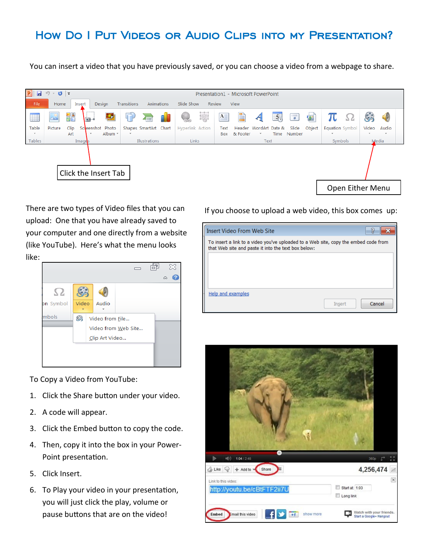# How Do I Put Videos or Audio Clips into my Presentation?

You can insert a video that you have previously saved, or you can choose a video from a webpage to share.



There are two types of Video files that you can upload: One that you have already saved to your computer and one directly from a website (like YouTube). Here's what the menu looks like:



To Copy a Video from YouTube:

- 1. Click the Share button under your video.
- 2. A code will appear.
- 3. Click the Embed button to copy the code.
- 4. Then, copy it into the box in your Power-Point presentation.
- 5. Click Insert.
- 6. To Play your video in your presentation, you will just click the play, volume or pause buttons that are on the video!

If you choose to upload a web video, this box comes up:

|                                                                                                                                            | <b>Insert Video From Web Site</b> |        |        |  |  |
|--------------------------------------------------------------------------------------------------------------------------------------------|-----------------------------------|--------|--------|--|--|
| To insert a link to a video you've uploaded to a Web site, copy the embed code from<br>that Web site and paste it into the text box below: |                                   |        |        |  |  |
|                                                                                                                                            |                                   |        |        |  |  |
|                                                                                                                                            |                                   |        |        |  |  |
|                                                                                                                                            | Help and examples                 |        |        |  |  |
|                                                                                                                                            |                                   | Insert | Cancel |  |  |